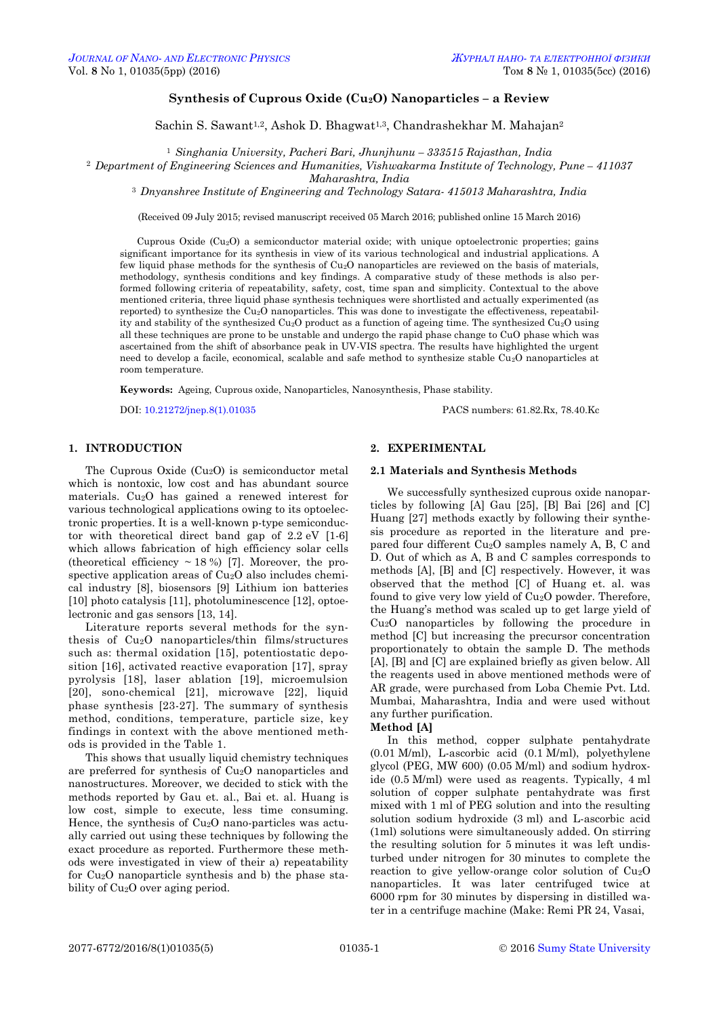# **Synthesis of Cuprous Oxide (Cu2O) Nanoparticles – a Review**

Sachin S. Sawant<sup>1,2</sup>, Ashok D. Bhagwat<sup>1,3</sup>, Chandrashekhar M. Mahajan<sup>2</sup>

<sup>1</sup> *Singhania University, Pacheri Bari, Jhunjhunu – 333515 Rajasthan, India*

<sup>2</sup> Department of Engineering Sciences and Humanities, Vishwakarma Institute of Technology, Pune –  $411037$ 

*Maharashtra, India*

<sup>3</sup> *Dnyanshree Institute of Engineering and Technology Satara- 415013 Maharashtra, India*

(Received 09 July 2015; revised manuscript received 05 March 2016; published online 15 March 2016)

Cuprous Oxide (Cu2O) a semiconductor material oxide; with unique optoelectronic properties; gains significant importance for its synthesis in view of its various technological and industrial applications. A few liquid phase methods for the synthesis of  $Cu<sub>2</sub>O$  nanoparticles are reviewed on the basis of materials, methodology, synthesis conditions and key findings. A comparative study of these methods is also performed following criteria of repeatability, safety, cost, time span and simplicity. Contextual to the above mentioned criteria, three liquid phase synthesis techniques were shortlisted and actually experimented (as reported) to synthesize the Cu2O nanoparticles. This was done to investigate the effectiveness, repeatability and stability of the synthesized Cu2O product as a function of ageing time. The synthesized Cu2O using all these techniques are prone to be unstable and undergo the rapid phase change to CuO phase which was ascertained from the shift of absorbance peak in UV-VIS spectra. The results have highlighted the urgent need to develop a facile, economical, scalable and safe method to synthesize stable Cu2O nanoparticles at room temperature.

**Keywords:** Ageing, Cuprous oxide, Nanoparticles, Nanosynthesis, Phase stability.

DOI: [10.21272/jnep.8\(1\).01035](http://dx.doi.org/10.21272/jnep.8(1).01035) PACS numbers: 61.82.Rx, 78.40.Kc

# **1. INTRODUCTION**

The Cuprous Oxide  $(Cu_2O)$  is semiconductor metal which is nontoxic, low cost and has abundant source materials. Cu2O has gained a renewed interest for various technological applications owing to its optoelectronic properties. It is a well-known p-type semiconductor with theoretical direct band gap of 2.2 eV [1-6] which allows fabrication of high efficiency solar cells (theoretical efficiency  $\sim$  18 %) [7]. Moreover, the prospective application areas of Cu<sub>2</sub>O also includes chemical industry [8], biosensors [9] Lithium ion batteries [10] photo catalysis [11], photoluminescence [12], optoelectronic and gas sensors [13, 14].

Literature reports several methods for the synthesis of Cu2O nanoparticles/thin films/structures such as: thermal oxidation [15], potentiostatic deposition [16], activated reactive evaporation [17], spray pyrolysis [18], laser ablation [19], microemulsion [20], sono-chemical [21], microwave [22], liquid phase synthesis [23-27]. The summary of synthesis method, conditions, temperature, particle size, key findings in context with the above mentioned methods is provided in the Table 1.

<span id="page-0-3"></span><span id="page-0-2"></span><span id="page-0-1"></span><span id="page-0-0"></span>This shows that usually liquid chemistry techniques are preferred for synthesis of Cu2O nanoparticles and nanostructures. Moreover, we decided to stick with the methods reported by Gau et. al., Bai et. al. Huang is low cost, simple to execute, less time consuming. Hence, the synthesis of Cu2O nano-particles was actually carried out using these techniques by following the exact procedure as reported. Furthermore these methods were investigated in view of their a) repeatability for Cu2O nanoparticle synthesis and b) the phase stability of Cu2O over aging period.

# **2. EXPERIMENTAL**

### **2.1 Materials and Synthesis Methods**

We successfully synthesized cuprous oxide nanoparticles by following [A] Gau [25], [B] Bai [26] and [C] Huang [27] methods exactly by following their synthesis procedure as reported in the literature and prepared four different Cu2O samples namely A, B, C and D. Out of which as A, B and C samples corresponds to methods [A], [B] and [C] respectively. However, it was observed that the method [C] of Huang et. al. was found to give very low yield of Cu2O powder. Therefore, the Huang's method was scaled up to get large yield of Cu2O nanoparticles by following the procedure in method [C] but increasing the precursor concentration proportionately to obtain the sample D. The methods [A], [B] and [C] are explained briefly as given below. All the reagents used in above mentioned methods were of AR grade, were purchased from Loba Chemie Pvt. Ltd. Mumbai, Maharashtra, India and were used without any further purification.

#### **Method [A]**

In this method, copper sulphate pentahydrate (0.01 M/ml), L-ascorbic acid (0.1 M/ml), polyethylene glycol (PEG, MW 600) (0.05 M/ml) and sodium hydroxide (0.5 M/ml) were used as reagents. Typically, 4 ml solution of copper sulphate pentahydrate was first mixed with 1 ml of PEG solution and into the resulting solution sodium hydroxide (3 ml) and L-ascorbic acid (1ml) solutions were simultaneously added. On stirring the resulting solution for 5 minutes it was left undisturbed under nitrogen for 30 minutes to complete the reaction to give yellow-orange color solution of Cu2O nanoparticles. It was later centrifuged twice at 6000 rpm for 30 minutes by dispersing in distilled water in a centrifuge machine (Make: Remi PR 24, Vasai,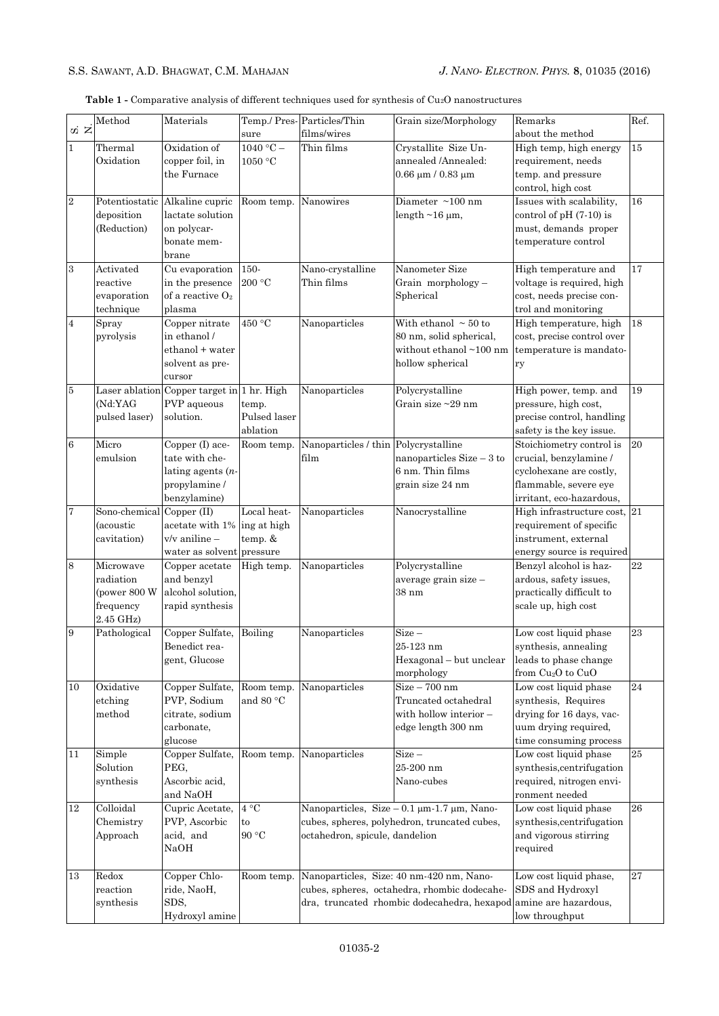|  |  |  |  | <b>Table 1 -</b> Comparative analysis of different techniques used for synthesis of $Cu2O$ nanostructures |  |  |
|--|--|--|--|-----------------------------------------------------------------------------------------------------------|--|--|
|--|--|--|--|-----------------------------------------------------------------------------------------------------------|--|--|

| $\vec{a}$ $\vec{z}$ | Method                                                           | Materials                                                                                                            | sure                              | Temp./ Pres-Particles/Thin<br>films/wires                                                                                            | Grain size/Morphology                                                                                                                                        | Remarks<br>about the method                                                                                                        | Ref.     |
|---------------------|------------------------------------------------------------------|----------------------------------------------------------------------------------------------------------------------|-----------------------------------|--------------------------------------------------------------------------------------------------------------------------------------|--------------------------------------------------------------------------------------------------------------------------------------------------------------|------------------------------------------------------------------------------------------------------------------------------------|----------|
| $\mathbf{1}$        | Thermal<br>Oxidation                                             | $\overline{\mathrm{Ox}}$ idation of<br>copper foil, in<br>the Furnace                                                | $1040 °C -$<br>1050 °C            | Thin films                                                                                                                           | Crystallite Size Un-<br>annealed /Annealed:<br>$0.66 \mu m / 0.83 \mu m$                                                                                     | High temp, high energy<br>requirement, needs<br>temp. and pressure<br>control, high cost                                           | 15       |
| $\overline{2}$      | Potentiostatic<br>deposition<br>(Reduction)                      | Alkaline cupric<br>lactate solution<br>on polycar-<br>bonate mem-<br>brane                                           | Room temp.                        | Nanowires                                                                                                                            | Diameter $\sim$ 100 nm<br>length $\sim$ 16 µm,                                                                                                               | Issues with scalability,<br>control of $pH(7-10)$ is<br>must, demands proper<br>temperature control                                | 16       |
| $\boldsymbol{3}$    | Activated<br>reactive<br>evaporation<br>technique                | Cu evaporation<br>in the presence<br>of a reactive $O_2$<br>plasma                                                   | 150-<br>200 °C                    | Nano-crystalline<br>Thin films                                                                                                       | Nanometer Size<br>Grain morphology-<br>Spherical                                                                                                             | High temperature and<br>voltage is required, high<br>cost, needs precise con-<br>trol and monitoring                               | 17       |
| $\overline{4}$      | Spray<br>pyrolysis                                               | Copper nitrate<br>in ethanol /<br>ethanol + water<br>solvent as pre-<br>cursor                                       | 450 °C                            | Nanoparticles                                                                                                                        | With ethanol $\sim$ 50 to<br>80 nm, solid spherical,<br>without ethanol ~100 nm<br>hollow spherical                                                          | High temperature, high<br>cost, precise control over<br>temperature is mandato-<br>ry                                              | 18       |
| $\bf 5$             | (Nd:YAG<br>pulsed laser)                                         | Laser ablation Copper target in 1 hr. High<br>PVP aqueous<br>solution.                                               | temp.<br>Pulsed laser<br>ablation | Nanoparticles                                                                                                                        | Polycrystalline<br>Grain size $\sim$ 29 nm                                                                                                                   | High power, temp. and<br>pressure, high cost,<br>precise control, handling<br>safety is the key issue.                             | 19       |
| $\,6$               | Micro<br>emulsion                                                | Copper (I) ace-<br>tate with che-<br>lating agents $(n-$<br>propylamine /<br>benzylamine)                            | Room temp.                        | Nanoparticles / thin Polycrystalline<br>film                                                                                         | nanoparticles $Size - 3$ to<br>6 nm. Thin films<br>grain size 24 nm                                                                                          | Stoichiometry control is<br>crucial, benzylamine /<br>cyclohexane are costly,<br>flammable, severe eye<br>irritant, eco-hazardous, | 20       |
| 7                   | Sono-chemical<br>(acoustic<br>cavitation)                        | $\overline{\operatorname{Copper}}$ (II)<br>acetate with 1% ing at high<br>v/v aniline –<br>water as solvent pressure | Local heat-<br>temp. &            | Nanoparticles                                                                                                                        | Nanocrystalline                                                                                                                                              | High infrastructure cost, 21<br>requirement of specific<br>instrument, external<br>energy source is required                       |          |
| 8                   | Microwave<br>radiation<br>(power 800 W<br>frequency<br>2.45 GHz) | Copper acetate<br>and benzyl<br>alcohol solution,<br>rapid synthesis                                                 | High temp.                        | Nanoparticles                                                                                                                        | Polycrystalline<br>average grain size -<br>$38 \text{ nm}$                                                                                                   | Benzyl alcohol is haz-<br>ardous, safety issues,<br>practically difficult to<br>scale up, high cost                                | 22       |
| 9                   | Pathological                                                     | Copper Sulfate,<br>Benedict rea-<br>gent, Glucose                                                                    | Boiling                           | Nanoparticles                                                                                                                        | $Size -$<br>25-123 nm<br>Hexagonal - but unclear<br>morphology                                                                                               | Low cost liquid phase<br>synthesis, annealing<br>leads to phase change<br>from Cu <sub>2</sub> O to CuO                            | 23       |
| 10                  | Oxidative<br>etching<br>method                                   | Copper Sulfate,<br>PVP, Sodium<br>citrate, sodium<br>carbonate,<br>glucose                                           | and 80 °C                         | Room temp. Nanoparticles                                                                                                             | $Size - 700$ nm<br>Truncated octahedral<br>with hollow interior -<br>edge length 300 nm                                                                      | Low cost liquid phase<br>synthesis, Requires<br>drying for 16 days, vac-<br>uum drying required,<br>time consuming process         | 24       |
| 11                  | Simple<br>Solution<br>synthesis                                  | Copper Sulfate,<br>PEG,<br>Ascorbic acid,<br>and NaOH                                                                | Room temp.                        | Nanoparticles                                                                                                                        | $Size -$<br>25-200 nm<br>Nano-cubes                                                                                                                          | Low cost liquid phase<br>synthesis, centrifugation<br>required, nitrogen envi-<br>ronment needed                                   | 25       |
| 12                  | Colloidal<br>Chemistry<br>Approach                               | Cupric Acetate,<br>PVP, Ascorbic<br>acid, and<br>NaOH                                                                | 4 °C<br>to<br>90 °C               | Nanoparticles, Size $-0.1 \mu m-1.7 \mu m$ , Nano-<br>cubes, spheres, polyhedron, truncated cubes,<br>octahedron, spicule, dandelion |                                                                                                                                                              | Low cost liquid phase<br>synthesis, centrifugation<br>and vigorous stirring<br>required                                            | 26       |
| 13                  | Redox<br>reaction<br>synthesis                                   | Copper Chlo-<br>ride, NaoH,<br>SDS,<br>Hydroxyl amine                                                                | Room temp.                        |                                                                                                                                      | Nanoparticles, Size: 40 nm-420 nm, Nano-<br>cubes, spheres, octahedra, rhombic dodecahe-<br>dra, truncated rhombic dodecahedra, hexapod amine are hazardous, | Low cost liquid phase,<br>SDS and Hydroxyl<br>low throughput                                                                       | $\bf 27$ |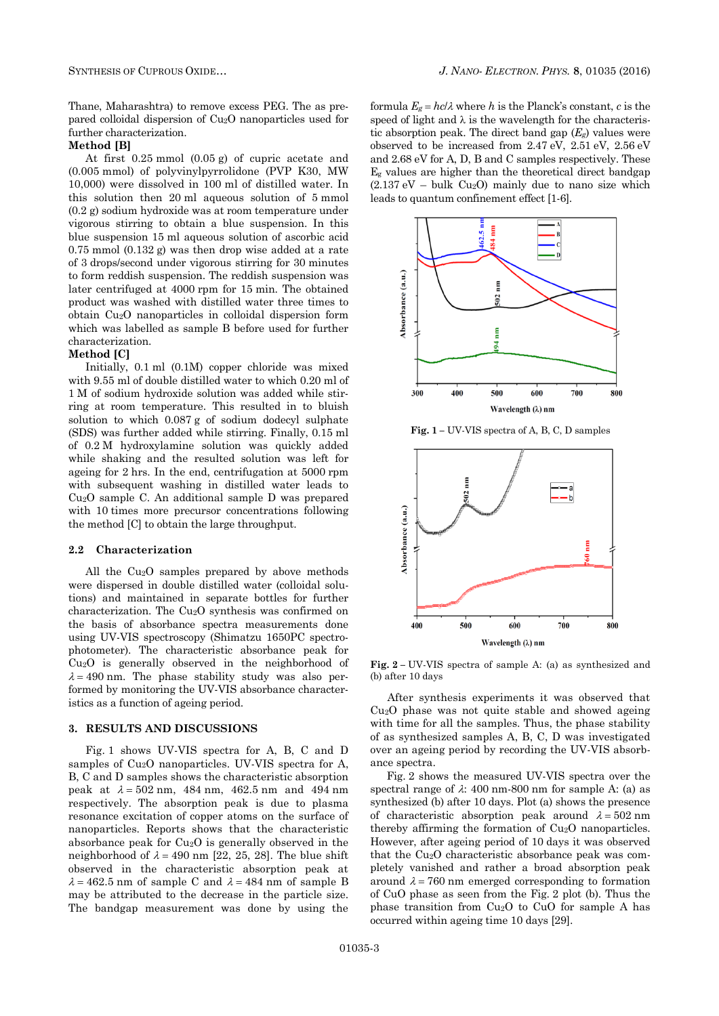Thane, Maharashtra) to remove excess PEG. The as prepared colloidal dispersion of Cu2O nanoparticles used for further characterization.

#### **Method [B]**

At first 0.25 mmol (0.05 g) of cupric acetate and (0.005 mmol) of polyvinylpyrrolidone (PVP K30, MW 10,000) were dissolved in 100 ml of distilled water. In this solution then 20 ml aqueous solution of 5 mmol (0.2 g) sodium hydroxide was at room temperature under vigorous stirring to obtain a blue suspension. In this blue suspension 15 ml aqueous solution of ascorbic acid 0.75 mmol (0.132 g) was then drop wise added at a rate of 3 drops/second under vigorous stirring for 30 minutes to form reddish suspension. The reddish suspension was later centrifuged at 4000 rpm for 15 min. The obtained product was washed with distilled water three times to obtain Cu2O nanoparticles in colloidal dispersion form which was labelled as sample B before used for further characterization.

### **Method [C]**

Initially, 0.1 ml (0.1M) copper chloride was mixed with 9.55 ml of double distilled water to which 0.20 ml of 1 M of sodium hydroxide solution was added while stirring at room temperature. This resulted in to bluish solution to which 0.087 g of sodium dodecyl sulphate (SDS) was further added while stirring. Finally, 0.15 ml of 0.2 M hydroxylamine solution was quickly added while shaking and the resulted solution was left for ageing for 2 hrs. In the end, centrifugation at 5000 rpm with subsequent washing in distilled water leads to Cu2O sample C. An additional sample D was prepared with 10 times more precursor concentrations following the method [C] to obtain the large throughput.

## **2.2 Characterization**

All the Cu2O samples prepared by above methods were dispersed in double distilled water (colloidal solutions) and maintained in separate bottles for further characterization. The Cu2O synthesis was confirmed on the basis of absorbance spectra measurements done using UV-VIS spectroscopy (Shimatzu 1650PC spectrophotometer). The characteristic absorbance peak for Cu2O is generally observed in the neighborhood of  $\lambda = 490$  nm. The phase stability study was also performed by monitoring the UV-VIS absorbance characteristics as a function of ageing period.

#### **3. RESULTS AND DISCUSSIONS**

Fig. 1 shows UV-VIS spectra for A, B, C and D samples of Cu2O nanoparticles. UV-VIS spectra for A, B, C and D samples shows the characteristic absorption peak at  $\lambda = 502$  nm, 484 nm, 462.5 nm and 494 nm respectively. The absorption peak is due to plasma resonance excitation of copper atoms on the surface of nanoparticles. Reports shows that the characteristic absorbance peak for  $Cu<sub>2</sub>O$  is generally observed in the neighborhood of  $\lambda = 490$  nm [22, 25, 28]. The blue shift observed in the characteristic absorption peak at  $\lambda = 462.5$  nm of sample C and  $\lambda = 484$  nm of sample B may be attributed to the decrease in the particle size. The bandgap measurement was done by using the

formula  $E_g = hc/\lambda$  where h is the Planck's constant, c is the speed of light and  $\lambda$  is the wavelength for the characteristic absorption peak. The direct band gap  $(E_g)$  values were observed to be increased from 2.47 eV, 2.51 eV, 2.56 eV and 2.68 eV for A, D, B and C samples respectively. These E<sup>g</sup> values are higher than the theoretical direct bandgap  $(2.137 \text{ eV} - \text{bulk Cu}_2O)$  mainly due to nano size which leads to quantum confinement effect [1-6].



**Fig. 1 –** UV-VIS spectra of A, B, C, D samples



**Fig. 2 –** UV-VIS spectra of sample A: (a) as synthesized and (b) after 10 days

After synthesis experiments it was observed that Cu2O phase was not quite stable and showed ageing with time for all the samples. Thus, the phase stability of as synthesized samples A, B, C, D was investigated over an ageing period by recording the UV-VIS absorbance spectra.

Fig. 2 shows the measured UV-VIS spectra over the spectral range of  $\lambda$ : 400 nm-800 nm for sample A: (a) as synthesized (b) after 10 days. Plot (a) shows the presence of characteristic absorption peak around  $\lambda = 502$  nm thereby affirming the formation of Cu2O nanoparticles. However, after ageing period of 10 days it was observed that the Cu2O characteristic absorbance peak was completely vanished and rather a broad absorption peak around  $\lambda = 760$  nm emerged corresponding to formation of CuO phase as seen from the Fig. 2 plot (b). Thus the phase transition from Cu2O to CuO for sample A has occurred within ageing time 10 days [29].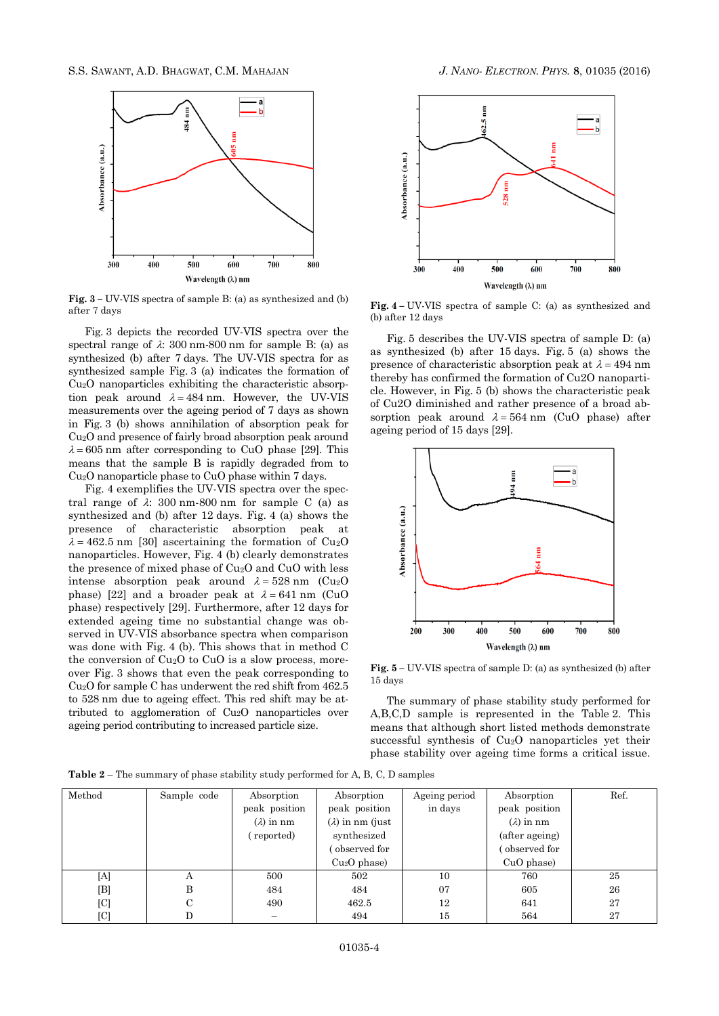

**Fig. 3 –** UV-VIS spectra of sample B: (a) as synthesized and (b) after 7 days

Fig. 3 depicts the recorded UV-VIS spectra over the spectral range of  $\lambda$ : 300 nm-800 nm for sample B: (a) as synthesized (b) after 7 days. The UV-VIS spectra for as synthesized sample Fig. 3 (a) indicates the formation of Cu2O nanoparticles exhibiting the characteristic absorption peak around  $\lambda = 484$  nm. However, the UV-VIS measurements over the ageing period of 7 days as shown in Fig. 3 (b) shows annihilation of absorption peak for Cu2O and presence of fairly broad absorption peak around  $\lambda = 605$  nm after corresponding to CuO phase [29]. This means that the sample B is rapidly degraded from to Cu2O nanoparticle phase to CuO phase within 7 days.

Fig. 4 exemplifies the UV-VIS spectra over the spectral range of  $\lambda$ : 300 nm-800 nm for sample C (a) as synthesized and (b) after 12 days. Fig. 4 (a) shows the presence of characteristic absorption peak at  $\lambda = 462.5$  nm [30] ascertaining the formation of Cu<sub>2</sub>O nanoparticles. However, Fig. 4 (b) clearly demonstrates the presence of mixed phase of Cu2O and CuO with less intense absorption peak around  $\lambda = 528$  nm (Cu<sub>2</sub>O) phase) [22] and a broader peak at  $\lambda = 641$  nm (CuO phase) respectively [29]. Furthermore, after 12 days for extended ageing time no substantial change was observed in UV-VIS absorbance spectra when comparison was done with Fig. 4 (b). This shows that in method C the conversion of  $Cu<sub>2</sub>O$  to  $CuO$  is a slow process, moreover Fig. 3 shows that even the peak corresponding to Cu2O for sample C has underwent the red shift from 462.5 to 528 nm due to ageing effect. This red shift may be attributed to agglomeration of Cu2O nanoparticles over ageing period contributing to increased particle size.



**Fig. 4 –** UV-VIS spectra of sample C: (a) as synthesized and (b) after 12 days

Fig. 5 describes the UV-VIS spectra of sample D: (a) as synthesized (b) after 15 days. Fig. 5 (a) shows the presence of characteristic absorption peak at  $\lambda = 494$  nm thereby has confirmed the formation of Cu2O nanoparticle. However, in Fig. 5 (b) shows the characteristic peak of Cu2O diminished and rather presence of a broad absorption peak around  $\lambda = 564$  nm (CuO phase) after ageing period of 15 days [29].



**Fig. 5 –** UV-VIS spectra of sample D: (a) as synthesized (b) after 15 days

The summary of phase stability study performed for A,B,C,D sample is represented in the Table 2. This means that although short listed methods demonstrate successful synthesis of Cu2O nanoparticles yet their phase stability over ageing time forms a critical issue.

**Table 2** – The summary of phase stability study performed for A, B, C, D samples

| Method      | Sample code | Absorption<br>peak position<br>$(\lambda)$ in nm<br>(reported) | Absorption<br>peak position<br>$(\lambda)$ in nm (just)<br>synthesized | Ageing period<br>in days | Absorption<br>peak position<br>$(\lambda)$ in nm<br>(after ageing) | Ref. |
|-------------|-------------|----------------------------------------------------------------|------------------------------------------------------------------------|--------------------------|--------------------------------------------------------------------|------|
|             |             |                                                                | observed for<br>$Cu2O$ phase)                                          |                          | observed for<br>$CuO$ phase)                                       |      |
| [A]         | А           | 500                                                            | 502                                                                    | 10                       | 760                                                                | 25   |
| $[{\rm B}]$ | B           | 484                                                            | 484                                                                    | 07                       | 605                                                                | 26   |
| [C]         | C           | 490                                                            | 462.5                                                                  | 12                       | 641                                                                | 27   |
| [C]         |             |                                                                | 494                                                                    | 15                       | 564                                                                | 27   |